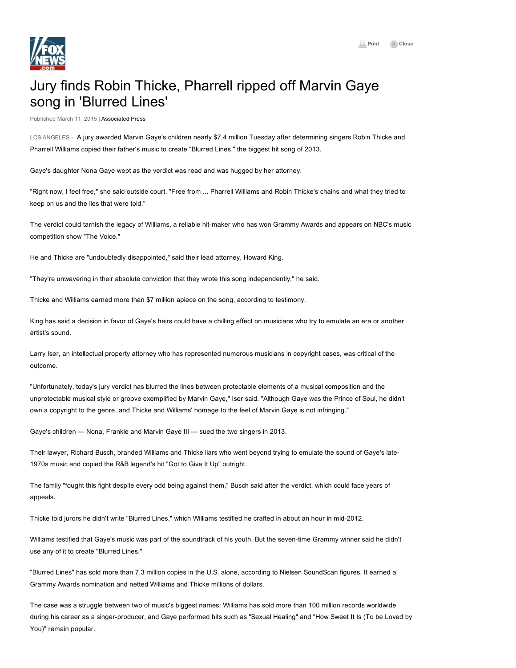## Jury finds Robin Thicke, Pharrell ripped off Marvin Gaye song in 'Blurred Lines'

Published March 11, 2015 | [Associated](http://www.ap.org/) Press

LOS ANGELES – A jury awarded Marvin Gaye's children nearly \$7.4 million Tuesday after determining singers Robin Thicke and Pharrell Williams copied their father's music to create "Blurred Lines," the biggest hit song of 2013.

Gaye's daughter Nona Gaye wept as the verdict was read and was hugged by her attorney.

"Right now, I feel free," she said outside court. "Free from ... Pharrell Williams and Robin Thicke's chains and what they tried to keep on us and the lies that were told."

The verdict could tarnish the legacy of Williams, a reliable hit-maker who has won Grammy Awards and appears on NBC's music competition show "The Voice."

He and Thicke are "undoubtedly disappointed," said their lead attorney, Howard King.

"They're unwavering in their absolute conviction that they wrote this song independently," he said.

Thicke and Williams earned more than \$7 million apiece on the song, according to testimony.

King has said a decision in favor of Gaye's heirs could have a chilling effect on musicians who try to emulate an era or another artist's sound.

Larry Iser, an intellectual property attorney who has represented numerous musicians in copyright cases, was critical of the outcome.

"Unfortunately, today's jury verdict has blurred the lines between protectable elements of a musical composition and the unprotectable musical style or groove exemplified by Marvin Gaye," Iser said. "Although Gaye was the Prince of Soul, he didn't own a copyright to the genre, and Thicke and Williams' homage to the feel of Marvin Gaye is not infringing."

Gaye's children — Nona, Frankie and Marvin Gaye III — sued the two singers in 2013.

Their lawyer, Richard Busch, branded Williams and Thicke liars who went beyond trying to emulate the sound of Gaye's late-1970s music and copied the R&B legend's hit "Got to Give It Up" outright.

The family "fought this fight despite every odd being against them," Busch said after the verdict, which could face years of appeals.

Thicke told jurors he didn't write "Blurred Lines," which Williams testified he crafted in about an hour in mid2012.

Williams testified that Gaye's music was part of the soundtrack of his youth. But the seven-time Grammy winner said he didn't use any of it to create "Blurred Lines."

"Blurred Lines" has sold more than 7.3 million copies in the U.S. alone, according to Nielsen SoundScan figures. It earned a Grammy Awards nomination and netted Williams and Thicke millions of dollars.

The case was a struggle between two of music's biggest names: Williams has sold more than 100 million records worldwide during his career as a singer-producer, and Gaye performed hits such as "Sexual Healing" and "How Sweet It Is (To be Loved by You)" remain popular.